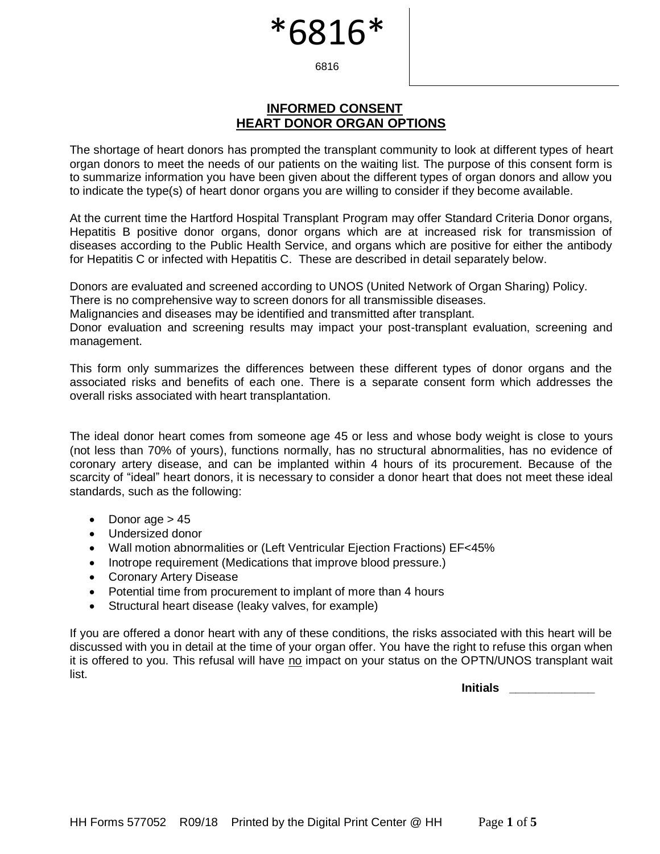6816

# **INFORMED CONSENT HEART DONOR ORGAN OPTIONS**

The shortage of heart donors has prompted the transplant community to look at different types of heart organ donors to meet the needs of our patients on the waiting list. The purpose of this consent form is to summarize information you have been given about the different types of organ donors and allow you to indicate the type(s) of heart donor organs you are willing to consider if they become available.

At the current time the Hartford Hospital Transplant Program may offer Standard Criteria Donor organs, Hepatitis B positive donor organs, donor organs which are at increased risk for transmission of diseases according to the Public Health Service, and organs which are positive for either the antibody for Hepatitis C or infected with Hepatitis C. These are described in detail separately below.

Donors are evaluated and screened according to UNOS (United Network of Organ Sharing) Policy.

There is no comprehensive way to screen donors for all transmissible diseases.

Malignancies and diseases may be identified and transmitted after transplant.

Donor evaluation and screening results may impact your post-transplant evaluation, screening and management.

This form only summarizes the differences between these different types of donor organs and the associated risks and benefits of each one. There is a separate consent form which addresses the overall risks associated with heart transplantation.

The ideal donor heart comes from someone age 45 or less and whose body weight is close to yours (not less than 70% of yours), functions normally, has no structural abnormalities, has no evidence of coronary artery disease, and can be implanted within 4 hours of its procurement. Because of the scarcity of "ideal" heart donors, it is necessary to consider a donor heart that does not meet these ideal standards, such as the following:

- Donor age  $> 45$
- Undersized donor
- Wall motion abnormalities or (Left Ventricular Ejection Fractions) EF<45%
- Inotrope requirement (Medications that improve blood pressure.)
- Coronary Artery Disease
- Potential time from procurement to implant of more than 4 hours
- Structural heart disease (leaky valves, for example)

If you are offered a donor heart with any of these conditions, the risks associated with this heart will be discussed with you in detail at the time of your organ offer. You have the right to refuse this organ when it is offered to you. This refusal will have no impact on your status on the OPTN/UNOS transplant wait list.

 **Initials \_\_\_\_\_\_\_\_\_\_\_\_\_**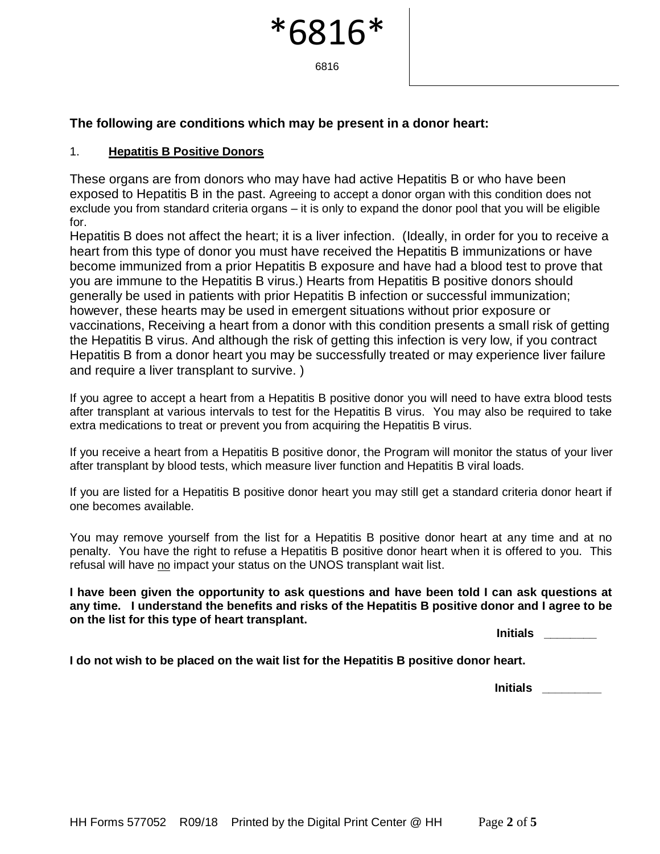581

## **The following are conditions which may be present in a donor heart:**

### 1. **Hepatitis B Positive Donors**

These organs are from donors who may have had active Hepatitis B or who have been exposed to Hepatitis B in the past. Agreeing to accept a donor organ with this condition does not exclude you from standard criteria organs – it is only to expand the donor pool that you will be eligible for.

Hepatitis B does not affect the heart; it is a liver infection. (Ideally, in order for you to receive a heart from this type of donor you must have received the Hepatitis B immunizations or have become immunized from a prior Hepatitis B exposure and have had a blood test to prove that you are immune to the Hepatitis B virus.) Hearts from Hepatitis B positive donors should generally be used in patients with prior Hepatitis B infection or successful immunization; however, these hearts may be used in emergent situations without prior exposure or vaccinations, Receiving a heart from a donor with this condition presents a small risk of getting the Hepatitis B virus. And although the risk of getting this infection is very low, if you contract Hepatitis B from a donor heart you may be successfully treated or may experience liver failure and require a liver transplant to survive. )

If you agree to accept a heart from a Hepatitis B positive donor you will need to have extra blood tests after transplant at various intervals to test for the Hepatitis B virus. You may also be required to take extra medications to treat or prevent you from acquiring the Hepatitis B virus.

If you receive a heart from a Hepatitis B positive donor, the Program will monitor the status of your liver after transplant by blood tests, which measure liver function and Hepatitis B viral loads.

If you are listed for a Hepatitis B positive donor heart you may still get a standard criteria donor heart if one becomes available.

You may remove yourself from the list for a Hepatitis B positive donor heart at any time and at no penalty. You have the right to refuse a Hepatitis B positive donor heart when it is offered to you. This refusal will have no impact your status on the UNOS transplant wait list.

**I have been given the opportunity to ask questions and have been told I can ask questions at any time. I understand the benefits and risks of the Hepatitis B positive donor and I agree to be on the list for this type of heart transplant.** 

**Initials \_\_\_\_\_\_\_\_**

**I do not wish to be placed on the wait list for the Hepatitis B positive donor heart.** 

 **Initials \_\_\_\_\_\_\_\_\_**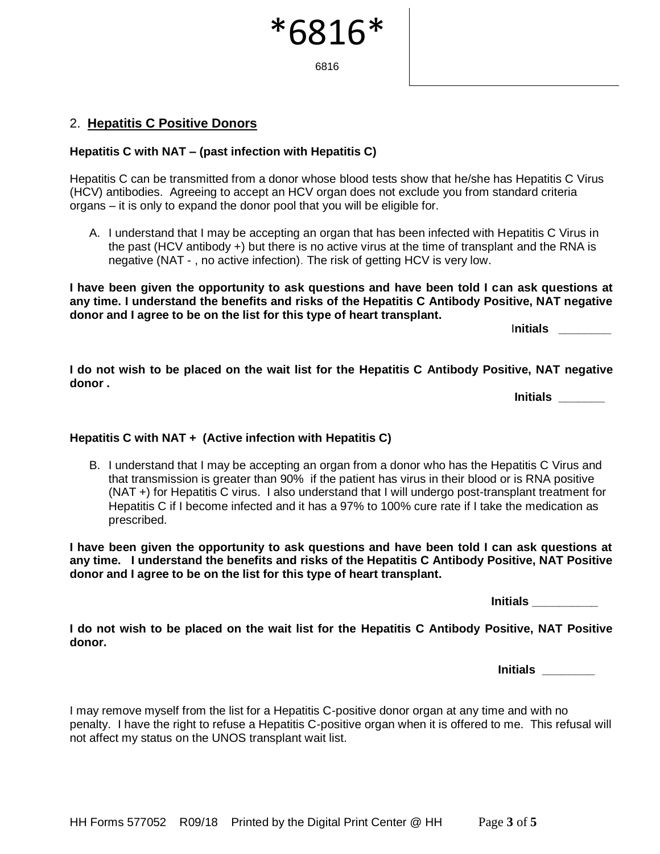\*6816\*

# 2. **Hepatitis C Positive Donors**

#### **Hepatitis C with NAT – (past infection with Hepatitis C)**

Hepatitis C can be transmitted from a donor whose blood tests show that he/she has Hepatitis C Virus (HCV) antibodies. Agreeing to accept an HCV organ does not exclude you from standard criteria organs – it is only to expand the donor pool that you will be eligible for.

A. I understand that I may be accepting an organ that has been infected with Hepatitis C Virus in the past (HCV antibody +) but there is no active virus at the time of transplant and the RNA is negative (NAT - , no active infection). The risk of getting HCV is very low.

**I have been given the opportunity to ask questions and have been told I can ask questions at any time. I understand the benefits and risks of the Hepatitis C Antibody Positive, NAT negative donor and I agree to be on the list for this type of heart transplant.** 

I**nitials \_\_\_\_\_\_\_\_**

**I do not wish to be placed on the wait list for the Hepatitis C Antibody Positive, NAT negative donor .** 

 **Initials \_\_\_\_\_\_\_**

#### **Hepatitis C with NAT + (Active infection with Hepatitis C)**

B. I understand that I may be accepting an organ from a donor who has the Hepatitis C Virus and that transmission is greater than 90% if the patient has virus in their blood or is RNA positive (NAT +) for Hepatitis C virus. I also understand that I will undergo post-transplant treatment for Hepatitis C if I become infected and it has a 97% to 100% cure rate if I take the medication as prescribed.

**I have been given the opportunity to ask questions and have been told I can ask questions at any time. I understand the benefits and risks of the Hepatitis C Antibody Positive, NAT Positive donor and I agree to be on the list for this type of heart transplant.**

 **Initials \_\_\_\_\_\_\_\_\_\_**

**I do not wish to be placed on the wait list for the Hepatitis C Antibody Positive, NAT Positive donor.** 

**Initials \_\_\_\_\_\_\_\_**

I may remove myself from the list for a Hepatitis C-positive donor organ at any time and with no penalty. I have the right to refuse a Hepatitis C-positive organ when it is offered to me. This refusal will not affect my status on the UNOS transplant wait list.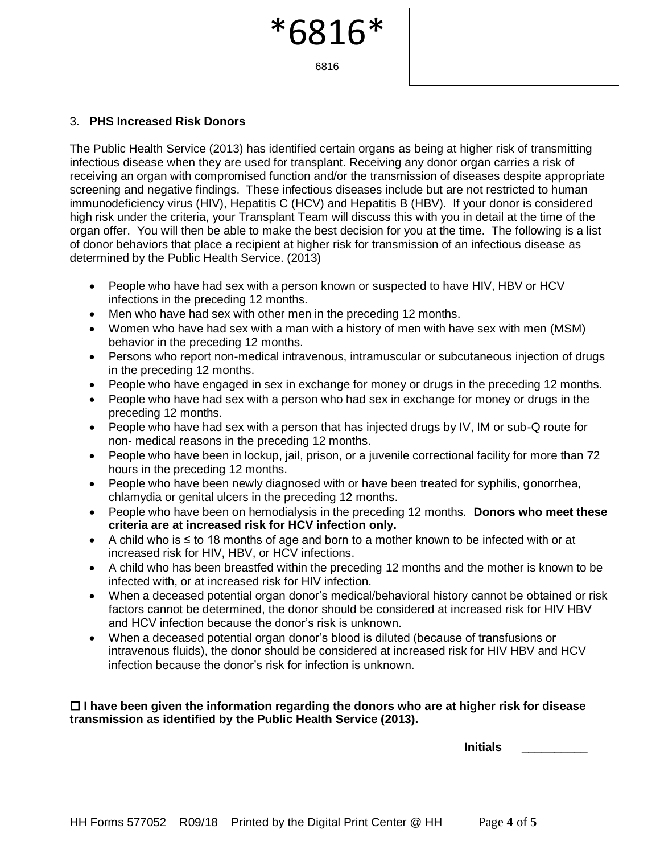581

# 3. **PHS Increased Risk Donors**

The Public Health Service (2013) has identified certain organs as being at higher risk of transmitting infectious disease when they are used for transplant. Receiving any donor organ carries a risk of receiving an organ with compromised function and/or the transmission of diseases despite appropriate screening and negative findings. These infectious diseases include but are not restricted to human immunodeficiency virus (HIV), Hepatitis C (HCV) and Hepatitis B (HBV). If your donor is considered high risk under the criteria, your Transplant Team will discuss this with you in detail at the time of the organ offer. You will then be able to make the best decision for you at the time. The following is a list of donor behaviors that place a recipient at higher risk for transmission of an infectious disease as determined by the Public Health Service. (2013)

- People who have had sex with a person known or suspected to have HIV, HBV or HCV infections in the preceding 12 months.
- Men who have had sex with other men in the preceding 12 months.
- Women who have had sex with a man with a history of men with have sex with men (MSM) behavior in the preceding 12 months.
- Persons who report non-medical intravenous, intramuscular or subcutaneous injection of drugs in the preceding 12 months.
- People who have engaged in sex in exchange for money or drugs in the preceding 12 months.
- People who have had sex with a person who had sex in exchange for money or drugs in the preceding 12 months.
- People who have had sex with a person that has injected drugs by IV, IM or sub-Q route for non- medical reasons in the preceding 12 months.
- People who have been in lockup, jail, prison, or a juvenile correctional facility for more than 72 hours in the preceding 12 months.
- People who have been newly diagnosed with or have been treated for syphilis, gonorrhea, chlamydia or genital ulcers in the preceding 12 months.
- People who have been on hemodialysis in the preceding 12 months. **Donors who meet these criteria are at increased risk for HCV infection only.**
- A child who is ≤ to 18 months of age and born to a mother known to be infected with or at increased risk for HIV, HBV, or HCV infections.
- A child who has been breastfed within the preceding 12 months and the mother is known to be infected with, or at increased risk for HIV infection.
- When a deceased potential organ donor's medical/behavioral history cannot be obtained or risk factors cannot be determined, the donor should be considered at increased risk for HIV HBV and HCV infection because the donor's risk is unknown.
- When a deceased potential organ donor's blood is diluted (because of transfusions or intravenous fluids), the donor should be considered at increased risk for HIV HBV and HCV infection because the donor's risk for infection is unknown.

 **I have been given the information regarding the donors who are at higher risk for disease transmission as identified by the Public Health Service (2013).** 

 **Initials \_\_\_\_\_\_\_\_\_\_**